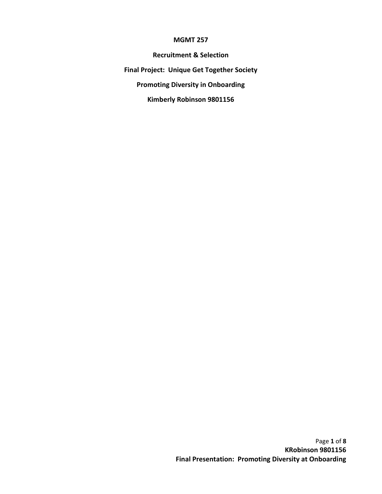#### MGMT 257

Recruitment & Selection Final Project: Unique Get Together Society Promoting Diversity in Onboarding Kimberly Robinson 9801156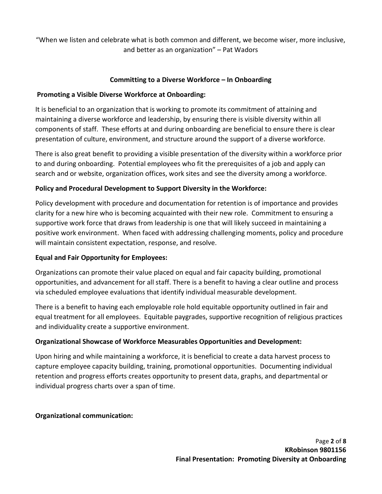"When we listen and celebrate what is both common and different, we become wiser, more inclusive, and better as an organization" – Pat Wadors

# Committing to a Diverse Workforce – In Onboarding

# Promoting a Visible Diverse Workforce at Onboarding:

It is beneficial to an organization that is working to promote its commitment of attaining and maintaining a diverse workforce and leadership, by ensuring there is visible diversity within all components of staff. These efforts at and during onboarding are beneficial to ensure there is clear presentation of culture, environment, and structure around the support of a diverse workforce.

There is also great benefit to providing a visible presentation of the diversity within a workforce prior to and during onboarding. Potential employees who fit the prerequisites of a job and apply can search and or website, organization offices, work sites and see the diversity among a workforce.

# Policy and Procedural Development to Support Diversity in the Workforce:

Policy development with procedure and documentation for retention is of importance and provides clarity for a new hire who is becoming acquainted with their new role. Commitment to ensuring a supportive work force that draws from leadership is one that will likely succeed in maintaining a positive work environment. When faced with addressing challenging moments, policy and procedure will maintain consistent expectation, response, and resolve.

# Equal and Fair Opportunity for Employees:

Organizations can promote their value placed on equal and fair capacity building, promotional opportunities, and advancement for all staff. There is a benefit to having a clear outline and process via scheduled employee evaluations that identify individual measurable development.

There is a benefit to having each employable role hold equitable opportunity outlined in fair and equal treatment for all employees. Equitable paygrades, supportive recognition of religious practices and individuality create a supportive environment.

# Organizational Showcase of Workforce Measurables Opportunities and Development:

Upon hiring and while maintaining a workforce, it is beneficial to create a data harvest process to capture employee capacity building, training, promotional opportunities. Documenting individual retention and progress efforts creates opportunity to present data, graphs, and departmental or individual progress charts over a span of time.

# Organizational communication: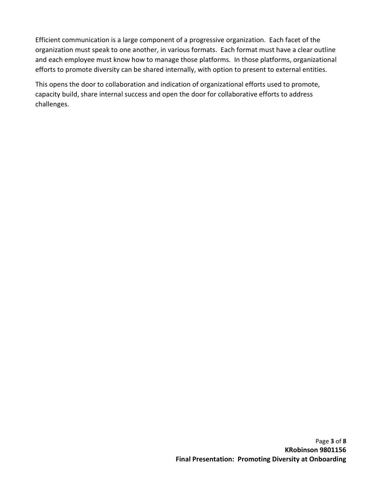Efficient communication is a large component of a progressive organization. Each facet of the organization must speak to one another, in various formats. Each format must have a clear outline and each employee must know how to manage those platforms. In those platforms, organizational efforts to promote diversity can be shared internally, with option to present to external entities.

This opens the door to collaboration and indication of organizational efforts used to promote, capacity build, share internal success and open the door for collaborative efforts to address challenges.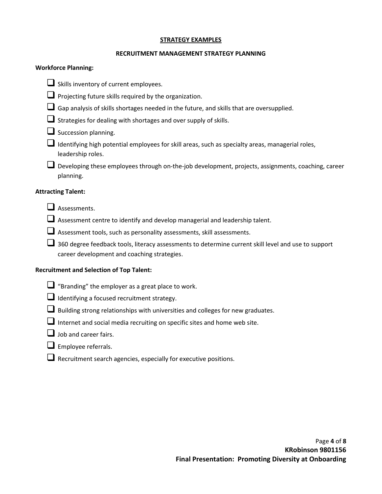#### STRATEGY EXAMPLES

## RECRUITMENT MANAGEMENT STRATEGY PLANNING

## Workforce Planning:

- $\Box$  Skills inventory of current employees.
- $\Box$  Projecting future skills required by the organization.
- $\square$  Gap analysis of skills shortages needed in the future, and skills that are oversupplied.
- Strategies for dealing with shortages and over supply of skills.
- $\square$  Succession planning.
- $\Box$  Identifying high potential employees for skill areas, such as specialty areas, managerial roles, leadership roles.
- Developing these employees through on-the-job development, projects, assignments, coaching, career planning.

# Attracting Talent:

- Assessments.
- $\Box$  Assessment centre to identify and develop managerial and leadership talent.
- Assessment tools, such as personality assessments, skill assessments.
- $\Box$  360 degree feedback tools, literacy assessments to determine current skill level and use to support career development and coaching strategies.

## Recruitment and Selection of Top Talent:

- $\Box$  "Branding" the employer as a great place to work.
- Identifying a focused recruitment strategy.
- $\Box$  Building strong relationships with universities and colleges for new graduates.
- $\Box$  Internet and social media recruiting on specific sites and home web site.
- $\Box$  Job and career fairs.
- $\Box$  Employee referrals.
- Recruitment search agencies, especially for executive positions.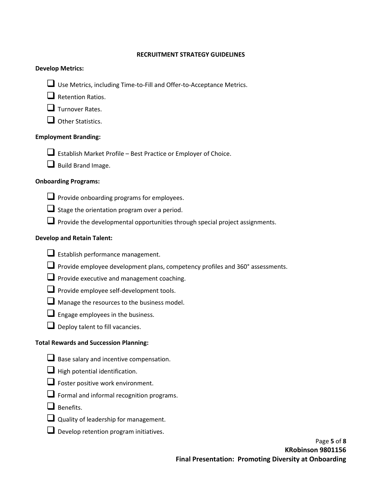#### RECRUITMENT STRATEGY GUIDELINES

## Develop Metrics:

- Use Metrics, including Time-to-Fill and Offer-to-Acceptance Metrics.
- $\Box$  Retention Ratios.
- $\Box$  Turnover Rates.
- $\Box$  Other Statistics.

# Employment Branding:

- $\Box$  Establish Market Profile Best Practice or Employer of Choice.
- Build Brand Image.

## Onboarding Programs:

- $\Box$  Provide onboarding programs for employees.
- $\Box$  Stage the orientation program over a period.
- $\Box$  Provide the developmental opportunities through special project assignments.

# Develop and Retain Talent:

- $\Box$  Establish performance management.
- **Q** Provide employee development plans, competency profiles and 360° assessments.
- $\Box$  Provide executive and management coaching.
- $\Box$  Provide employee self-development tools.
- $\Box$  Manage the resources to the business model.
- $\Box$  Engage employees in the business.
- $\Box$  Deploy talent to fill vacancies.

## Total Rewards and Succession Planning:

- Base salary and incentive compensation.
- $\Box$  High potential identification.
- $\Box$  Foster positive work environment.
- $\Box$  Formal and informal recognition programs.
- $\Box$  Benefits.
- Quality of leadership for management.
- $\Box$  Develop retention program initiatives.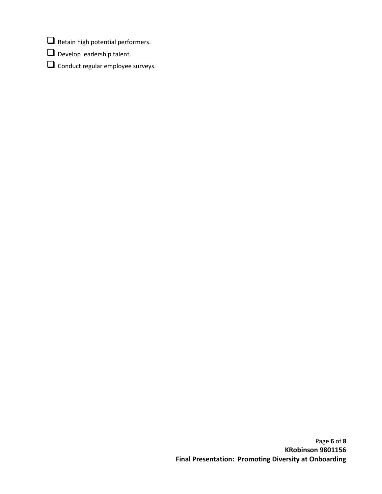- $\Box$  Retain high potential performers.
- Develop leadership talent.
- **Q** Conduct regular employee surveys.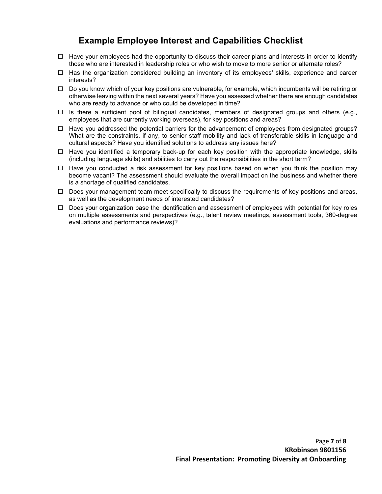# Example Employee Interest and Capabilities Checklist

- $\Box$  Have your employees had the opportunity to discuss their career plans and interests in order to identify those who are interested in leadership roles or who wish to move to more senior or alternate roles?
- $\Box$  Has the organization considered building an inventory of its employees' skills, experience and career interests?
- $\Box$  Do you know which of your key positions are vulnerable, for example, which incumbents will be retiring or otherwise leaving within the next several years? Have you assessed whether there are enough candidates who are ready to advance or who could be developed in time?
- $\Box$  Is there a sufficient pool of bilingual candidates, members of designated groups and others (e.g., employees that are currently working overseas), for key positions and areas?
- $\Box$  Have you addressed the potential barriers for the advancement of employees from designated groups? What are the constraints, if any, to senior staff mobility and lack of transferable skills in language and cultural aspects? Have you identified solutions to address any issues here?
- $\Box$  Have you identified a temporary back-up for each key position with the appropriate knowledge, skills (including language skills) and abilities to carry out the responsibilities in the short term?
- $\Box$  Have you conducted a risk assessment for key positions based on when you think the position may become vacant? The assessment should evaluate the overall impact on the business and whether there is a shortage of qualified candidates.
- $\Box$  Does your management team meet specifically to discuss the requirements of key positions and areas, as well as the development needs of interested candidates?
- $\Box$  Does your organization base the identification and assessment of employees with potential for key roles on multiple assessments and perspectives (e.g., talent review meetings, assessment tools, 360-degree evaluations and performance reviews)?